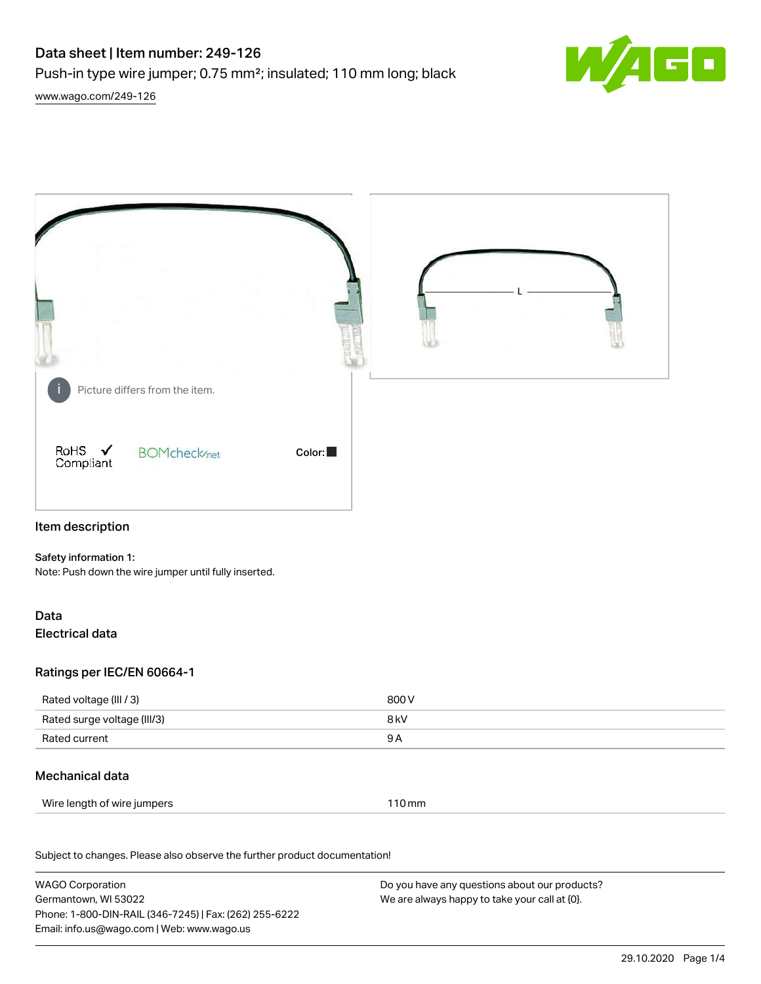# Data sheet | Item number: 249-126

Push-in type wire jumper; 0.75 mm²; insulated; 110 mm long; black



[www.wago.com/249-126](http://www.wago.com/249-126)



## Item description

#### Safety information 1:

Note: Push down the wire jumper until fully inserted.

# Data

Electrical data

# Ratings per IEC/EN 60664-1

| Rated voltage (III / 3)     | 800 V           |
|-----------------------------|-----------------|
| Rated surge voltage (III/3) | 8 <sub>kV</sub> |
| Rated current               | 9 A             |

## Mechanical data

| Wire length of wire jumpers | 110 mm |
|-----------------------------|--------|
|-----------------------------|--------|

Subject to changes. Please also observe the further product documentation! Material Data

| <b>WAGO Corporation</b>                                | Do you have any questions about our products? |
|--------------------------------------------------------|-----------------------------------------------|
| Germantown, WI 53022                                   | We are always happy to take your call at {0}. |
| Phone: 1-800-DIN-RAIL (346-7245)   Fax: (262) 255-6222 |                                               |
| Email: info.us@wago.com   Web: www.wago.us             |                                               |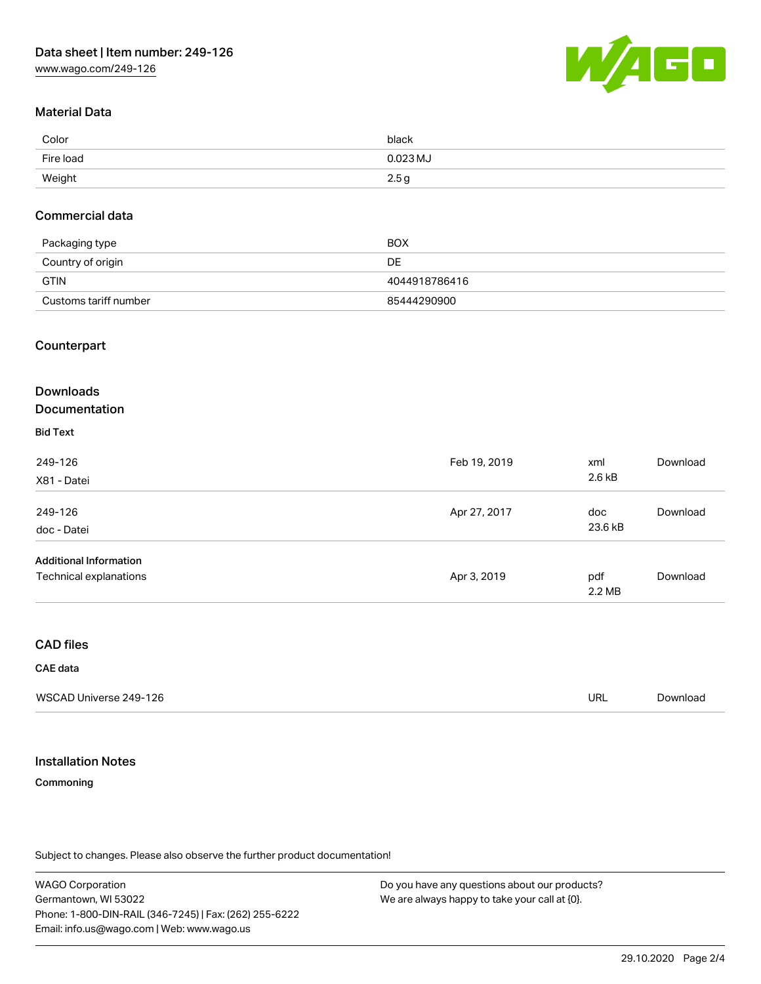

#### Material Data

| Color     | black      |
|-----------|------------|
| Fire load | $0.023$ MJ |
| Weight    | 2.5 c      |

#### Commercial data

| Packaging type        | <b>BOX</b>    |
|-----------------------|---------------|
| Country of origin     | DE            |
| GTIN                  | 4044918786416 |
| Customs tariff number | 85444290900   |

#### Counterpart

# **Downloads**

#### Documentation

#### Bid Text

| 249-126<br>X81 - Datei                                  | Feb 19, 2019 | xml<br>2.6 kB  | Download |
|---------------------------------------------------------|--------------|----------------|----------|
| 249-126<br>doc - Datei                                  | Apr 27, 2017 | doc<br>23.6 kB | Download |
| <b>Additional Information</b><br>Technical explanations | Apr 3, 2019  | pdf<br>2.2 MB  | Download |

#### CAD files

#### CAE data

| WSCAD Universe 249-126 | URL | ിownloaവ |
|------------------------|-----|----------|
|------------------------|-----|----------|

#### Installation Notes

#### Commoning

Subject to changes. Please also observe the further product documentation!

WAGO Corporation Germantown, WI 53022 Phone: 1-800-DIN-RAIL (346-7245) | Fax: (262) 255-6222 Email: info.us@wago.com | Web: www.wago.us

Do you have any questions about our products? We are always happy to take your call at {0}.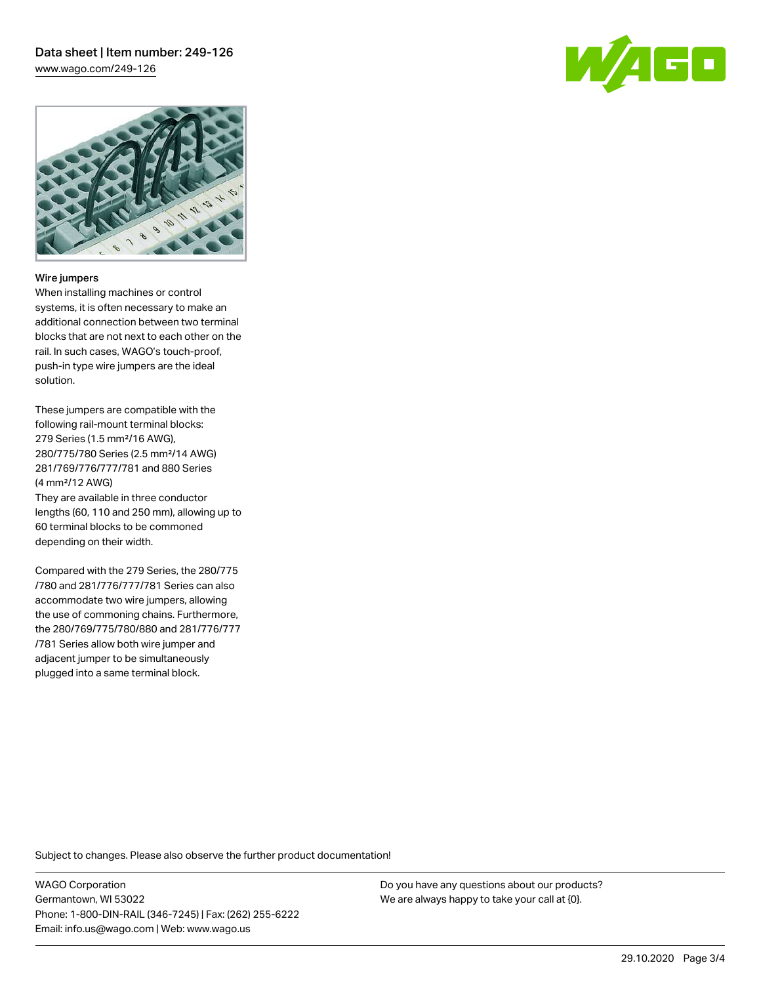# Data sheet | Item number: 249-126

[www.wago.com/249-126](http://www.wago.com/249-126)





#### Wire jumpers

When installing machines or control systems, it is often necessary to make an additional connection between two terminal blocks that are not next to each other on the rail. In such cases, WAGO's touch-proof, push-in type wire jumpers are the ideal solution.

These jumpers are compatible with the following rail-mount terminal blocks: 279 Series (1.5 mm²/16 AWG), 280/775/780 Series (2.5 mm²/14 AWG) 281/769/776/777/781 and 880 Series (4 mm²/12 AWG) They are available in three conductor

lengths (60, 110 and 250 mm), allowing up to 60 terminal blocks to be commoned depending on their width.

Compared with the 279 Series, the 280/775 /780 and 281/776/777/781 Series can also accommodate two wire jumpers, allowing the use of commoning chains. Furthermore, the 280/769/775/780/880 and 281/776/777 /781 Series allow both wire jumper and adjacent jumper to be simultaneously plugged into a same terminal block.

Subject to changes. Please also observe the further product documentation!

WAGO Corporation Germantown, WI 53022 Phone: 1-800-DIN-RAIL (346-7245) | Fax: (262) 255-6222 Email: info.us@wago.com | Web: www.wago.us

Do you have any questions about our products? We are always happy to take your call at {0}.